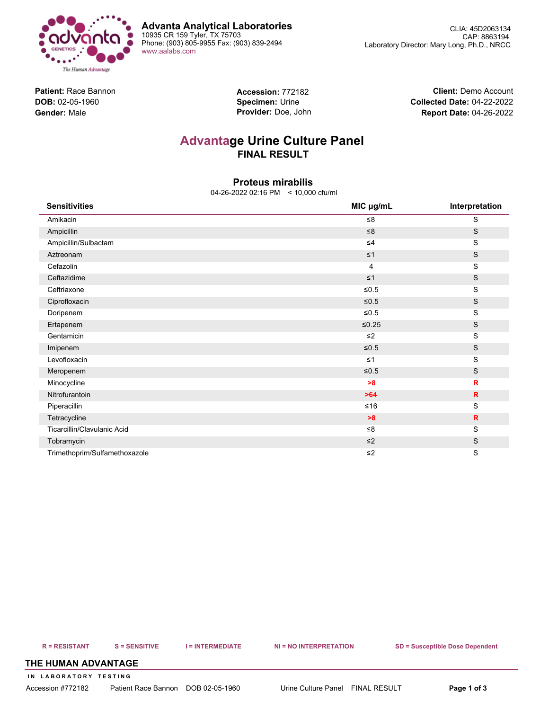

**Advanta Analytical Laboratories** 10935 CR 159 Tyler, TX 75703 Phone: (903) 805-9955 Fax: (903) 839-2494 [www.aalabs.com](https://www.aalabs.com)

**Patient:** Race Bannon **DOB:** 02-05-1960 **Gender:** Male

**Accession:** 772182 **Specimen:** Urine **Provider:** Doe, John

**Client:** Demo Account **Collected Date:** 04-22-2022 **Report Date:** 04-26-2022

# **Advantage Urine Culture Panel FINAL RESULT**

# **Proteus mirabilis**

04-26-2022 02:16 PM < 10,000 cfu/ml

| <b>Sensitivities</b>          | MIC µg/mL      | Interpretation |
|-------------------------------|----------------|----------------|
| Amikacin                      | $\leq 8$       | $\mathbf S$    |
| Ampicillin                    | $\leq 8$       | $\mathbb S$    |
| Ampicillin/Sulbactam          | $\leq 4$       | S              |
| Aztreonam                     | $\leq 1$       | $\mathbb S$    |
| Cefazolin                     | $\overline{4}$ | S              |
| Ceftazidime                   | $\leq 1$       | $\mathbb S$    |
| Ceftriaxone                   | $≤0.5$         | $\mathbf S$    |
| Ciprofloxacin                 | $≤0.5$         | $\mathbb S$    |
| Doripenem                     | $≤0.5$         | $\mathbf S$    |
| Ertapenem                     | $≤0.25$        | S              |
| Gentamicin                    | $\leq$ 2       | $\mathsf S$    |
| Imipenem                      | $≤0.5$         | $\mathbb S$    |
| Levofloxacin                  | $\leq 1$       | $\mathbf S$    |
| Meropenem                     | $≤0.5$         | S              |
| Minocycline                   | >8             | $\mathbf R$    |
| Nitrofurantoin                | $>64$          | $\mathsf{R}$   |
| Piperacillin                  | $≤16$          | $\mathbf S$    |
| Tetracycline                  | >8             | $\mathsf{R}$   |
| Ticarcillin/Clavulanic Acid   | $\leq 8$       | $\mathbf S$    |
| Tobramycin                    | $\leq$ 2       | S              |
| Trimethoprim/Sulfamethoxazole | $\leq$ 2       | S              |

R = RESISTANT S = SENSITIVE I = INTERMEDIATE NI = NO INTERPRETATION SD = Susceptible Dose Dependent

### **THE HUMAN ADVANTAGE**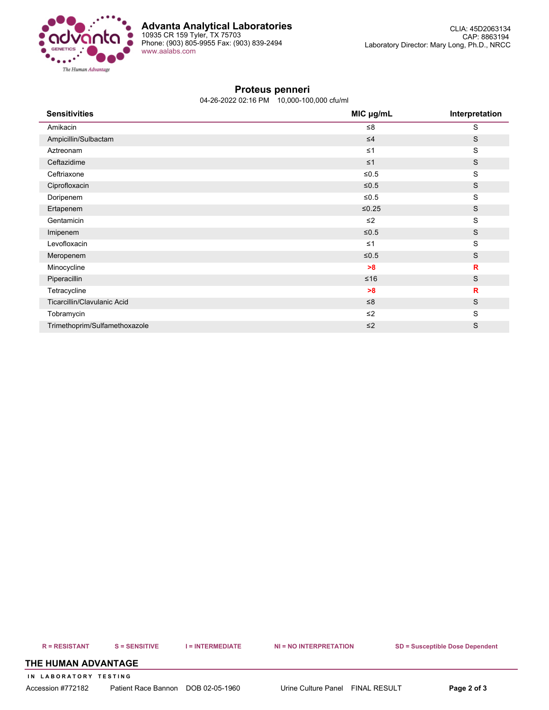

## **Proteus penneri**

04-26-2022 02:16 PM 10,000-100,000 cfu/ml

| <b>Sensitivities</b>          | MIC µg/mL | Interpretation |
|-------------------------------|-----------|----------------|
| Amikacin                      | ≤8        | S              |
| Ampicillin/Sulbactam          | $\leq 4$  | $\mathsf S$    |
| Aztreonam                     | $\leq 1$  | ${\mathsf S}$  |
| Ceftazidime                   | $\leq 1$  | $\mathsf S$    |
| Ceftriaxone                   | $≤0.5$    | ${\mathsf S}$  |
| Ciprofloxacin                 | $≤0.5$    | S              |
| Doripenem                     | $≤0.5$    | S              |
| Ertapenem                     | $≤0.25$   | S              |
| Gentamicin                    | $\leq$ 2  | S              |
| Imipenem                      | $≤0.5$    | $\mathsf S$    |
| Levofloxacin                  | $\leq 1$  | ${\mathsf S}$  |
| Meropenem                     | $≤0.5$    | S              |
| Minocycline                   | >8        | $\mathbf R$    |
| Piperacillin                  | $≤16$     | S              |
| Tetracycline                  | >8        | R              |
| Ticarcillin/Clavulanic Acid   | $\leq 8$  | S              |
| Tobramycin                    | $\leq$ 2  | ${\mathbb S}$  |
| Trimethoprim/Sulfamethoxazole | $\leq$ 2  | S              |

R = RESISTANT S = SENSITIVE I = INTERMEDIATE NI = NO INTERPRETATION SD = Susceptible Dose Dependent

### **THE HUMAN ADVANTAGE**